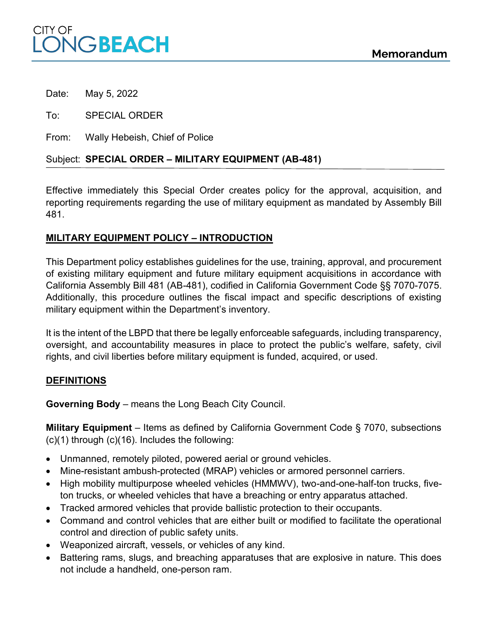

Date: May 5, 2022

To: SPECIAL ORDER

From: Wally Hebeish, Chief of Police

## Subject: **SPECIAL ORDER ± MILITARY EQUIPMENT (AB-481)**

Effective immediately this Special Order creates policy for the approval, acquisition, and reporting requirements regarding the use of military equipment as mandated by Assembly Bill 481.

#### **MILITARY EQUIPMENT POLICY ± INTRODUCTION**

This Department policy establishes guidelines for the use, training, approval, and procurement of existing military equipment and future military equipment acquisitions in accordance with California Assembly Bill 481 (AB-481), codified in California Government Code §§ 7070-7075. Additionally, this procedure outlines the fiscal impact and specific descriptions of existing military equipment within the Department's inventory.

It is the intent of the LBPD that there be legally enforceable safeguards, including transparency, oversight, and accountability measures in place to protect the public's welfare, safety, civil rights, and civil liberties before military equipment is funded, acquired, or used.

### **DEFINITIONS**

**Governing Body** - means the Long Beach City Council.

**Military Equipment** – Items as defined by California Government Code § 7070, subsections (c)(1) through (c)(16). Includes the following:

- Unmanned, remotely piloted, powered aerial or ground vehicles.
- Mine-resistant ambush-protected (MRAP) vehicles or armored personnel carriers.
- High mobility multipurpose wheeled vehicles (HMMWV), two-and-one-half-ton trucks, fiveton trucks, or wheeled vehicles that have a breaching or entry apparatus attached.
- Tracked armored vehicles that provide ballistic protection to their occupants.
- Command and control vehicles that are either built or modified to facilitate the operational control and direction of public safety units.
- Weaponized aircraft, vessels, or vehicles of any kind.
- Battering rams, slugs, and breaching apparatuses that are explosive in nature. This does not include a handheld, one-person ram.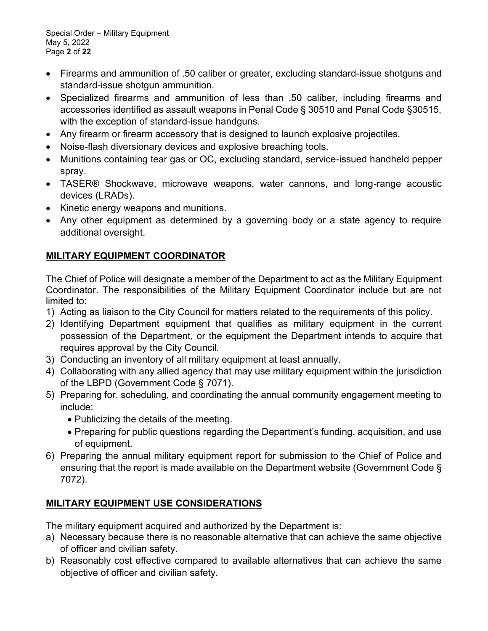Special Order - Military Equipment May 5, 2022 Page **2** of **22**

- Firearms and ammunition of .50 caliber or greater, excluding standard-issue shotguns and standard-issue shotgun ammunition.
- Specialized firearms and ammunition of less than .50 caliber, including firearms and accessories identified as assault weapons in Penal Code § 30510 and Penal Code §30515, with the exception of standard-issue handguns.
- Any firearm or firearm accessory that is designed to launch explosive projectiles.
- Noise-flash diversionary devices and explosive breaching tools.
- Munitions containing tear gas or OC, excluding standard, service-issued handheld pepper spray.
- TASER® Shockwave, microwave weapons, water cannons, and long-range acoustic devices (LRADs).
- Kinetic energy weapons and munitions.
- Any other equipment as determined by a governing body or a state agency to require additional oversight.

# **MILITARY EQUIPMENT COORDINATOR**

The Chief of Police will designate a member of the Department to act as the Military Equipment Coordinator. The responsibilities of the Military Equipment Coordinator include but are not limited to:

- 1) Acting as liaison to the City Council for matters related to the requirements of this policy.
- 2) Identifying Department equipment that qualifies as military equipment in the current possession of the Department, or the equipment the Department intends to acquire that requires approval by the City Council.
- 3) Conducting an inventory of all military equipment at least annually.
- 4) Collaborating with any allied agency that may use military equipment within the jurisdiction of the LBPD (Government Code § 7071).
- 5) Preparing for, scheduling, and coordinating the annual community engagement meeting to include:
	- Publicizing the details of the meeting.
	- Preparing for public questions regarding the Department's funding, acquisition, and use of equipment.
- 6) Preparing the annual military equipment report for submission to the Chief of Police and ensuring that the report is made available on the Department website (Government Code § 7072).

## **MILITARY EQUIPMENT USE CONSIDERATIONS**

The military equipment acquired and authorized by the Department is:

- a) Necessary because there is no reasonable alternative that can achieve the same objective of officer and civilian safety.
- b) Reasonably cost effective compared to available alternatives that can achieve the same objective of officer and civilian safety.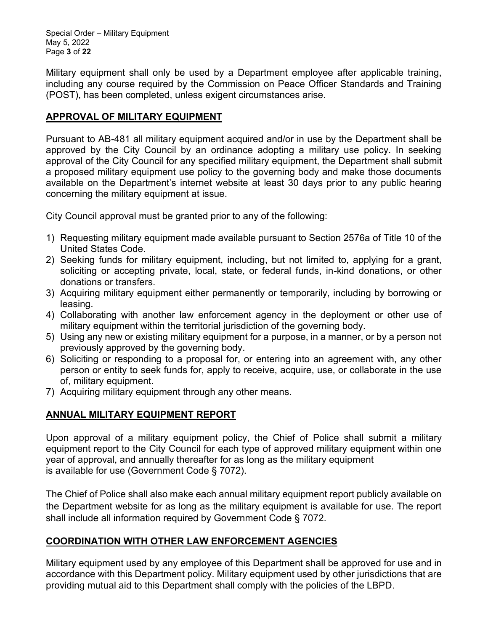Special Order - Military Equipment May 5, 2022 Page **3** of **22**

Military equipment shall only be used by a Department employee after applicable training, including any course required by the Commission on Peace Officer Standards and Training (POST), has been completed, unless exigent circumstances arise.

#### **APPROVAL OF MILITARY EQUIPMENT**

Pursuant to AB-481 all military equipment acquired and/or in use by the Department shall be approved by the City Council by an ordinance adopting a military use policy. In seeking approval of the City Council for any specified military equipment, the Department shall submit a proposed military equipment use policy to the governing body and make those documents available on the Department's internet website at least 30 days prior to any public hearing concerning the military equipment at issue.

City Council approval must be granted prior to any of the following:

- 1) Requesting military equipment made available pursuant to Section 2576a of Title 10 of the United States Code.
- 2) Seeking funds for military equipment, including, but not limited to, applying for a grant, soliciting or accepting private, local, state, or federal funds, in-kind donations, or other donations or transfers.
- 3) Acquiring military equipment either permanently or temporarily, including by borrowing or leasing.
- 4) Collaborating with another law enforcement agency in the deployment or other use of military equipment within the territorial jurisdiction of the governing body.
- 5) Using any new or existing military equipment for a purpose, in a manner, or by a person not previously approved by the governing body.
- 6) Soliciting or responding to a proposal for, or entering into an agreement with, any other person or entity to seek funds for, apply to receive, acquire, use, or collaborate in the use of, military equipment.
- 7) Acquiring military equipment through any other means.

### **ANNUAL MILITARY EQUIPMENT REPORT**

Upon approval of a military equipment policy, the Chief of Police shall submit a military equipment report to the City Council for each type of approved military equipment within one year of approval, and annually thereafter for as long as the military equipment is available for use (Government Code § 7072).

The Chief of Police shall also make each annual military equipment report publicly available on the Department website for as long as the military equipment is available for use. The report shall include all information required by Government Code § 7072.

### **COORDINATION WITH OTHER LAW ENFORCEMENT AGENCIES**

Military equipment used by any employee of this Department shall be approved for use and in accordance with this Department policy. Military equipment used by other jurisdictions that are providing mutual aid to this Department shall comply with the policies of the LBPD.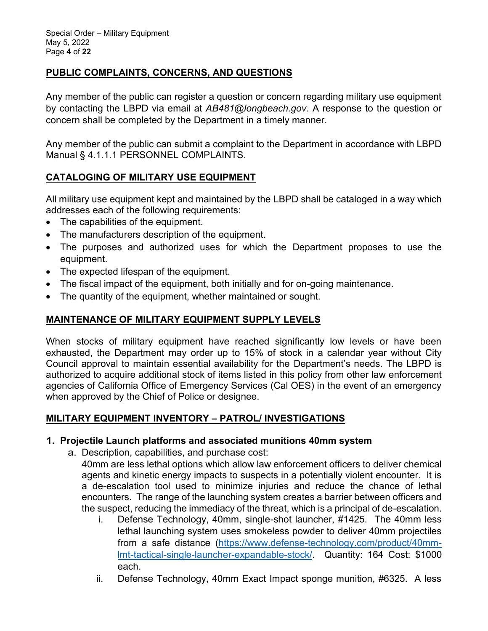## **PUBLIC COMPLAINTS, CONCERNS, AND QUESTIONS**

Any member of the public can register a question or concern regarding military use equipment by contacting the LBPD via email at *AB481@longbeach.gov*. A response to the question or concern shall be completed by the Department in a timely manner.

Any member of the public can submit a complaint to the Department in accordance with LBPD Manual § 4.1.1.1 PERSONNEL COMPLAINTS.

### **CATALOGING OF MILITARY USE EQUIPMENT**

All military use equipment kept and maintained by the LBPD shall be cataloged in a way which addresses each of the following requirements:

- The capabilities of the equipment.
- The manufacturers description of the equipment.
- The purposes and authorized uses for which the Department proposes to use the equipment.
- The expected lifespan of the equipment.
- The fiscal impact of the equipment, both initially and for on-going maintenance.
- The quantity of the equipment, whether maintained or sought.

### **MAINTENANCE OF MILITARY EQUIPMENT SUPPLY LEVELS**

When stocks of military equipment have reached significantly low levels or have been exhausted, the Department may order up to 15% of stock in a calendar year without City Council approval to maintain essential availability for the Department's needs. The LBPD is authorized to acquire additional stock of items listed in this policy from other law enforcement agencies of California Office of Emergency Services (Cal OES) in the event of an emergency when approved by the Chief of Police or designee.

### **MILITARY EQUIPMENT INVENTORY ± PATROL/ INVESTIGATIONS**

### **1. Projectile Launch platforms and associated munitions 40mm system**

a. Description, capabilities, and purchase cost:

40mm are less lethal options which allow law enforcement officers to deliver chemical agents and kinetic energy impacts to suspects in a potentially violent encounter. It is a de-escalation tool used to minimize injuries and reduce the chance of lethal encounters. The range of the launching system creates a barrier between officers and the suspect, reducing the immediacy of the threat, which is a principal of de-escalation.

- i. Defense Technology, 40mm, single-shot launcher, #1425. The 40mm less lethal launching system uses smokeless powder to deliver 40mm projectiles from a safe distance (https://www.defense-technology.com/product/40mmlmt-tactical-single-launcher-expandable-stock/. Quantity: 164 Cost: \$1000 each.
- ii. Defense Technology, 40mm Exact Impact sponge munition, #6325. A less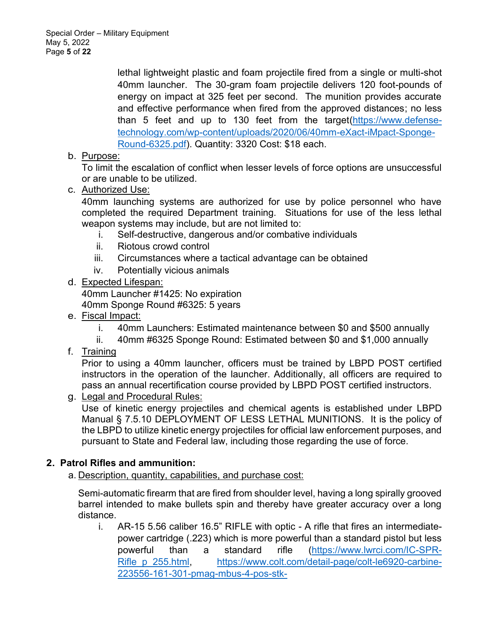lethal lightweight plastic and foam projectile fired from a single or multi-shot 40mm launcher. The 30-gram foam projectile delivers 120 foot-pounds of energy on impact at 325 feet per second. The munition provides accurate and effective performance when fired from the approved distances; no less than 5 feet and up to 130 feet from the target(https://www.defensetechnology.com/wp-content/uploads/2020/06/40mm-eXact-iMpact-Sponge-Round-6325.pdf). Quantity: 3320 Cost: \$18 each.

b. Purpose:

To limit the escalation of conflict when lesser levels of force options are unsuccessful or are unable to be utilized.

c. Authorized Use:

40mm launching systems are authorized for use by police personnel who have completed the required Department training. Situations for use of the less lethal weapon systems may include, but are not limited to:

- i. Self-destructive, dangerous and/or combative individuals
- ii. Riotous crowd control
- iii. Circumstances where a tactical advantage can be obtained
- iv. Potentially vicious animals
- d. Expected Lifespan:

40mm Launcher #1425: No expiration

40mm Sponge Round #6325: 5 years

- e. Fiscal Impact:
	- i. 40mm Launchers: Estimated maintenance between \$0 and \$500 annually
	- ii. 40mm #6325 Sponge Round: Estimated between \$0 and \$1,000 annually
- f. Training

Prior to using a 40mm launcher, officers must be trained by LBPD POST certified instructors in the operation of the launcher. Additionally, all officers are required to pass an annual recertification course provided by LBPD POST certified instructors.

g. Legal and Procedural Rules:

Use of kinetic energy projectiles and chemical agents is established under LBPD Manual § 7.5.10 DEPLOYMENT OF LESS LETHAL MUNITIONS. It is the policy of the LBPD to utilize kinetic energy projectiles for official law enforcement purposes, and pursuant to State and Federal law, including those regarding the use of force.

## **2. Patrol Rifles and ammunition:**

a. Description, quantity, capabilities, and purchase cost:

Semi-automatic firearm that are fired from shoulder level, having a long spirally grooved barrel intended to make bullets spin and thereby have greater accuracy over a long distance.

i. AR-15 5.56 caliber 16.5" RIFLE with optic - A rifle that fires an intermediatepower cartridge (.223) which is more powerful than a standard pistol but less powerful than a standard rifle (https://www.lwrci.com/IC-SPR-Rifle\_p\_255.html, https://www.colt.com/detail-page/colt-le6920-carbine-223556-161-301-pmag-mbus-4-pos-stk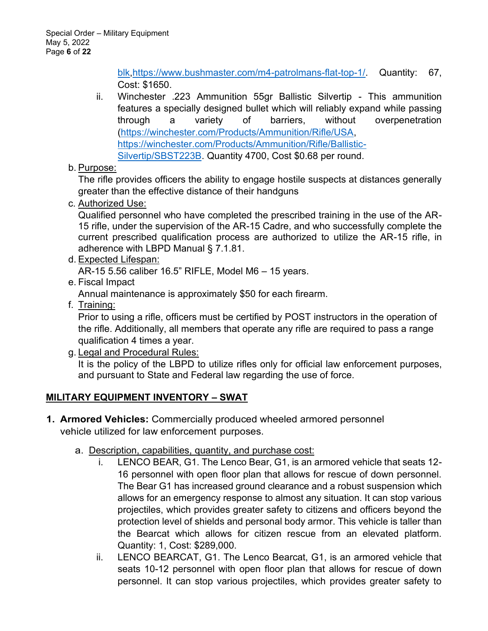blk,https://www.bushmaster.com/m4-patrolmans-flat-top-1/. Quantity: 67, Cost: \$1650.

- ii. Winchester .223 Ammunition 55gr Ballistic Silvertip This ammunition features a specially designed bullet which will reliably expand while passing through a variety of barriers, without overpenetration (https://winchester.com/Products/Ammunition/Rifle/USA, https://winchester.com/Products/Ammunition/Rifle/Ballistic-Silvertip/SBST223B. Quantity 4700, Cost \$0.68 per round.
- b. Purpose:

The rifle provides officers the ability to engage hostile suspects at distances generally greater than the effective distance of their handguns

c. Authorized Use:

Qualified personnel who have completed the prescribed training in the use of the AR-15 rifle, under the supervision of the AR-15 Cadre, and who successfully complete the current prescribed qualification process are authorized to utilize the AR-15 rifle, in adherence with LBPD Manual § 7.1.81.

d. Expected Lifespan:

AR-15 5.56 caliber 16.5" RIFLE, Model M6  $-$  15 years.

e. Fiscal Impact

Annual maintenance is approximately \$50 for each firearm.

f. Training:

Prior to using a rifle, officers must be certified by POST instructors in the operation of the rifle. Additionally, all members that operate any rifle are required to pass a range qualification 4 times a year.

g. Legal and Procedural Rules:

It is the policy of the LBPD to utilize rifles only for official law enforcement purposes, and pursuant to State and Federal law regarding the use of force.

## **MILITARY EQUIPMENT INVENTORY ± SWAT**

- **1. Armored Vehicles:** Commercially produced wheeled armored personnel vehicle utilized for law enforcement purposes.
	- a. Description, capabilities, quantity, and purchase cost:
		- i. LENCO BEAR, G1. The Lenco Bear, G1, is an armored vehicle that seats 12- 16 personnel with open floor plan that allows for rescue of down personnel. The Bear G1 has increased ground clearance and a robust suspension which allows for an emergency response to almost any situation. It can stop various projectiles, which provides greater safety to citizens and officers beyond the protection level of shields and personal body armor. This vehicle is taller than the Bearcat which allows for citizen rescue from an elevated platform. Quantity: 1, Cost: \$289,000.
		- ii. LENCO BEARCAT, G1. The Lenco Bearcat, G1, is an armored vehicle that seats 10-12 personnel with open floor plan that allows for rescue of down personnel. It can stop various projectiles, which provides greater safety to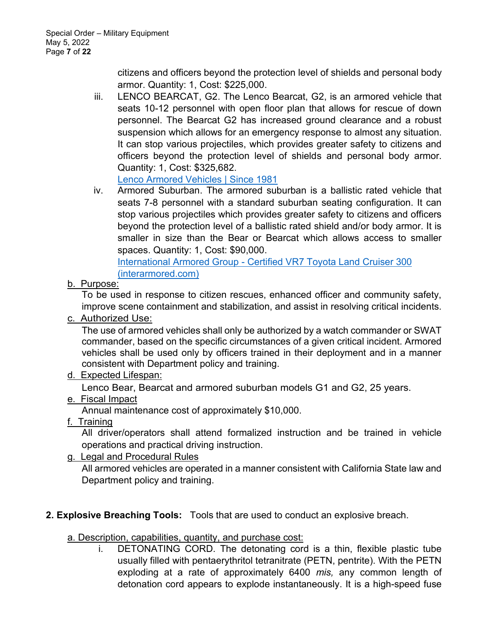citizens and officers beyond the protection level of shields and personal body armor. Quantity: 1, Cost: \$225,000.

iii. LENCO BEARCAT, G2. The Lenco Bearcat, G2, is an armored vehicle that seats 10-12 personnel with open floor plan that allows for rescue of down personnel. The Bearcat G2 has increased ground clearance and a robust suspension which allows for an emergency response to almost any situation. It can stop various projectiles, which provides greater safety to citizens and officers beyond the protection level of shields and personal body armor. Quantity: 1, Cost: \$325,682.

Lenco Armored Vehicles | Since 1981

iv. Armored Suburban. The armored suburban is a ballistic rated vehicle that seats 7-8 personnel with a standard suburban seating configuration. It can stop various projectiles which provides greater safety to citizens and officers beyond the protection level of a ballistic rated shield and/or body armor. It is smaller in size than the Bear or Bearcat which allows access to smaller spaces. Quantity: 1, Cost: \$90,000.

International Armored Group - Certified VR7 Toyota Land Cruiser 300 (interarmored.com)

b. Purpose:

To be used in response to citizen rescues, enhanced officer and community safety, improve scene containment and stabilization, and assist in resolving critical incidents.

c. Authorized Use:

The use of armored vehicles shall only be authorized by a watch commander or SWAT commander, based on the specific circumstances of a given critical incident. Armored vehicles shall be used only by officers trained in their deployment and in a manner consistent with Department policy and training.

### d. Expected Lifespan:

Lenco Bear, Bearcat and armored suburban models G1 and G2, 25 years.

e. Fiscal Impact

Annual maintenance cost of approximately \$10,000.

f. Training

All driver/operators shall attend formalized instruction and be trained in vehicle operations and practical driving instruction.

g. Legal and Procedural Rules

All armored vehicles are operated in a manner consistent with California State law and Department policy and training.

## **2. Explosive Breaching Tools:** Tools that are used to conduct an explosive breach.

a. Description, capabilities, quantity, and purchase cost:

DETONATING CORD. The detonating cord is a thin, flexible plastic tube usually filled with pentaerythritol tetranitrate (PETN, pentrite). With the PETN exploding at a rate of approximately 6400 *mis,* any common length of detonation cord appears to explode instantaneously. It is a high-speed fuse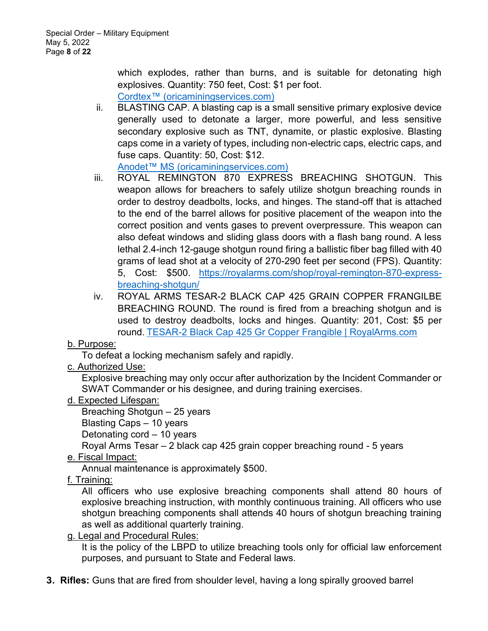which explodes, rather than burns, and is suitable for detonating high explosives. Quantity: 750 feet, Cost: \$1 per foot.

Cordtex<sup>™</sup> (oricaminingservices.com)

ii. BLASTING CAP. A blasting cap is a small sensitive primary explosive device generally used to detonate a larger, more powerful, and less sensitive secondary explosive such as TNT, dynamite, or plastic explosive. Blasting caps come in a variety of types, including non-electric caps, electric caps, and fuse caps. Quantity: 50, Cost: \$12.

Anodet™ MS (oricaminingservices.com)

- iii. ROYAL REMINGTON 870 EXPRESS BREACHING SHOTGUN. This weapon allows for breachers to safely utilize shotgun breaching rounds in order to destroy deadbolts, locks, and hinges. The stand-off that is attached to the end of the barrel allows for positive placement of the weapon into the correct position and vents gases to prevent overpressure. This weapon can also defeat windows and sliding glass doors with a flash bang round. A less lethal 2.4-inch 12-gauge shotgun round firing a ballistic fiber bag filled with 40 grams of lead shot at a velocity of 270-290 feet per second (FPS). Quantity: 5, Cost: \$500. https://royalarms.com/shop/royal-remington-870-expressbreaching-shotgun/
- iv. ROYAL ARMS TESAR-2 BLACK CAP 425 GRAIN COPPER FRANGILBE BREACHING ROUND. The round is fired from a breaching shotgun and is used to destroy deadbolts, locks and hinges. Quantity: 201, Cost: \$5 per round. TESAR-2 Black Cap 425 Gr Copper Frangible | RoyalArms.com

### b. Purpose:

To defeat a locking mechanism safely and rapidly.

c. Authorized Use:

Explosive breaching may only occur after authorization by the Incident Commander or SWAT Commander or his designee, and during training exercises.

### d. Expected Lifespan:

Breaching Shotgun  $-25$  years

Blasting Caps  $-10$  years

Detonating cord  $-10$  years

Royal Arms Tesar - 2 black cap 425 grain copper breaching round - 5 years

### e. Fiscal Impact:

Annual maintenance is approximately \$500.

### f. Training:

All officers who use explosive breaching components shall attend 80 hours of explosive breaching instruction, with monthly continuous training. All officers who use shotgun breaching components shall attends 40 hours of shotgun breaching training as well as additional quarterly training.

g. Legal and Procedural Rules:

It is the policy of the LBPD to utilize breaching tools only for official law enforcement purposes, and pursuant to State and Federal laws.

**3. Rifles:** Guns that are fired from shoulder level, having a long spirally grooved barrel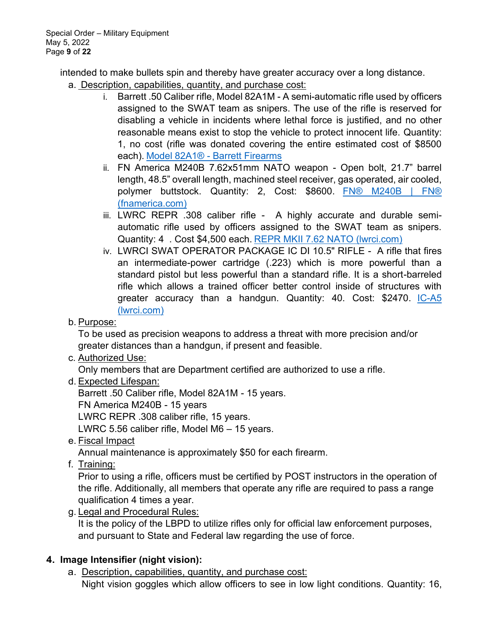intended to make bullets spin and thereby have greater accuracy over a long distance.

- a. Description, capabilities, quantity, and purchase cost:
	- i. Barrett .50 Caliber rifle, Model 82A1M A semi-automatic rifle used by officers assigned to the SWAT team as snipers. The use of the rifle is reserved for disabling a vehicle in incidents where lethal force is justified, and no other reasonable means exist to stop the vehicle to protect innocent life. Quantity: 1, no cost (rifle was donated covering the entire estimated cost of \$8500 each). Model 82A1® - Barrett Firearms
	- ii. FN America M240B 7.62x51mm NATO weapon Open bolt, 21.7" barrel length, 48.5" overall length, machined steel receiver, gas operated, air cooled, polymer buttstock. Quantity: 2, Cost: \$8600. FN® M240B | FN® (fnamerica.com)
	- iii. LWRC REPR .308 caliber rifle A highly accurate and durable semiautomatic rifle used by officers assigned to the SWAT team as snipers. Quantity: 4 . Cost \$4,500 each. REPR MKII 7.62 NATO (lwrci.com)
	- iv. LWRCI SWAT OPERATOR PACKAGE IC DI 10.5" RIFLE A rifle that fires an intermediate-power cartridge (.223) which is more powerful than a standard pistol but less powerful than a standard rifle. It is a short-barreled rifle which allows a trained officer better control inside of structures with greater accuracy than a handgun. Quantity: 40. Cost: \$2470. IC-A5 (lwrci.com)
- b. Purpose:

To be used as precision weapons to address a threat with more precision and/or greater distances than a handgun, if present and feasible.

c. Authorized Use:

Only members that are Department certified are authorized to use a rifle.

d. Expected Lifespan:

Barrett .50 Caliber rifle, Model 82A1M - 15 years.

FN America M240B - 15 years

LWRC REPR .308 caliber rifle, 15 years.

LWRC 5.56 caliber rifle, Model M6  $-$  15 years.

e. Fiscal Impact

Annual maintenance is approximately \$50 for each firearm.

f. Training:

Prior to using a rifle, officers must be certified by POST instructors in the operation of the rifle. Additionally, all members that operate any rifle are required to pass a range qualification 4 times a year.

g. Legal and Procedural Rules:

It is the policy of the LBPD to utilize rifles only for official law enforcement purposes, and pursuant to State and Federal law regarding the use of force.

# **4. Image Intensifier (night vision):**

a. Description, capabilities, quantity, and purchase cost: Night vision goggles which allow officers to see in low light conditions. Quantity: 16,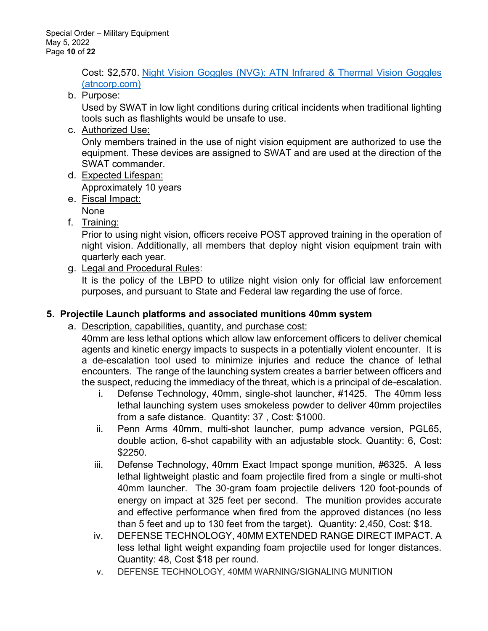Cost: \$2,570. Night Vision Goggles (NVG): ATN Infrared & Thermal Vision Goggles (atncorp.com)

b. Purpose:

Used by SWAT in low light conditions during critical incidents when traditional lighting tools such as flashlights would be unsafe to use.

c. Authorized Use:

Only members trained in the use of night vision equipment are authorized to use the equipment. These devices are assigned to SWAT and are used at the direction of the SWAT commander.

d. Expected Lifespan:

Approximately 10 years

e. Fiscal Impact:

None

f. Training:

Prior to using night vision, officers receive POST approved training in the operation of night vision. Additionally, all members that deploy night vision equipment train with quarterly each year.

g. Legal and Procedural Rules:

It is the policy of the LBPD to utilize night vision only for official law enforcement purposes, and pursuant to State and Federal law regarding the use of force.

## **5. Projectile Launch platforms and associated munitions 40mm system**

a. Description, capabilities, quantity, and purchase cost:

40mm are less lethal options which allow law enforcement officers to deliver chemical agents and kinetic energy impacts to suspects in a potentially violent encounter. It is a de-escalation tool used to minimize injuries and reduce the chance of lethal encounters. The range of the launching system creates a barrier between officers and the suspect, reducing the immediacy of the threat, which is a principal of de-escalation.

- i. Defense Technology, 40mm, single-shot launcher, #1425. The 40mm less lethal launching system uses smokeless powder to deliver 40mm projectiles from a safe distance. Quantity: 37 , Cost: \$1000.
- ii. Penn Arms 40mm, multi-shot launcher, pump advance version, PGL65, double action, 6-shot capability with an adjustable stock. Quantity: 6, Cost: \$2250.
- iii. Defense Technology, 40mm Exact Impact sponge munition, #6325. A less lethal lightweight plastic and foam projectile fired from a single or multi-shot 40mm launcher. The 30-gram foam projectile delivers 120 foot-pounds of energy on impact at 325 feet per second. The munition provides accurate and effective performance when fired from the approved distances (no less than 5 feet and up to 130 feet from the target). Quantity: 2,450, Cost: \$18.
- iv. DEFENSE TECHNOLOGY, 40MM EXTENDED RANGE DIRECT IMPACT. A less lethal light weight expanding foam projectile used for longer distances. Quantity: 48, Cost \$18 per round.
- v. DEFENSE TECHNOLOGY, 40MM WARNING/SIGNALING MUNITION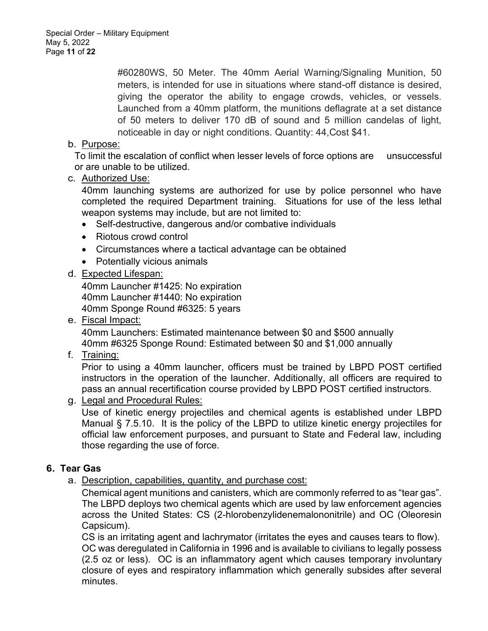#60280WS, 50 Meter. The 40mm Aerial Warning/Signaling Munition, 50 meters, is intended for use in situations where stand-off distance is desired, giving the operator the ability to engage crowds, vehicles, or vessels. Launched from a 40mm platform, the munitions deflagrate at a set distance of 50 meters to deliver 170 dB of sound and 5 million candelas of light, noticeable in day or night conditions. Quantity: 44,Cost \$41.

### b. Purpose:

To limit the escalation of conflict when lesser levels of force options are unsuccessful or are unable to be utilized.

c. Authorized Use:

40mm launching systems are authorized for use by police personnel who have completed the required Department training. Situations for use of the less lethal weapon systems may include, but are not limited to:

- Self-destructive, dangerous and/or combative individuals
- Riotous crowd control
- Circumstances where a tactical advantage can be obtained
- Potentially vicious animals

#### d. Expected Lifespan:

40mm Launcher #1425: No expiration 40mm Launcher #1440: No expiration 40mm Sponge Round #6325: 5 years

e. Fiscal Impact:

40mm Launchers: Estimated maintenance between \$0 and \$500 annually 40mm #6325 Sponge Round: Estimated between \$0 and \$1,000 annually

f. Training:

Prior to using a 40mm launcher, officers must be trained by LBPD POST certified instructors in the operation of the launcher. Additionally, all officers are required to pass an annual recertification course provided by LBPD POST certified instructors.

g. Legal and Procedural Rules:

Use of kinetic energy projectiles and chemical agents is established under LBPD Manual § 7.5.10. It is the policy of the LBPD to utilize kinetic energy projectiles for official law enforcement purposes, and pursuant to State and Federal law, including those regarding the use of force.

### **6. Tear Gas**

a. Description, capabilities, quantity, and purchase cost:

Chemical agent munitions and canisters, which are commonly referred to as "tear gas". The LBPD deploys two chemical agents which are used by law enforcement agencies across the United States: CS (2-hlorobenzylidenemalononitrile) and OC (Oleoresin Capsicum).

CS is an irritating agent and lachrymator (irritates the eyes and causes tears to flow). OC was deregulated in California in 1996 and is available to civilians to legally possess (2.5 oz or less). OC is an inflammatory agent which causes temporary involuntary closure of eyes and respiratory inflammation which generally subsides after several minutes.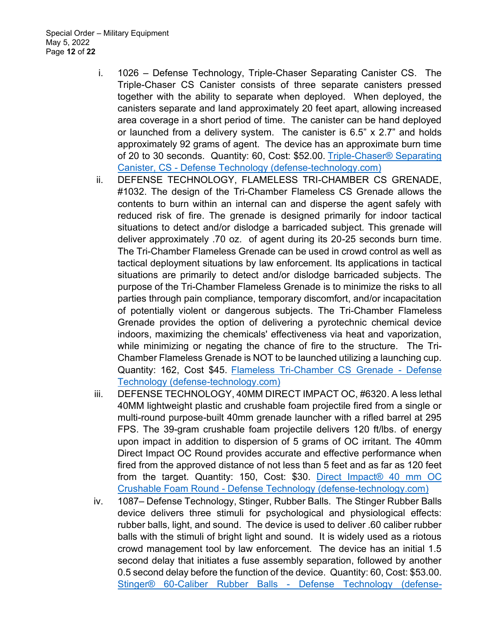- i. 1026 Defense Technology, Triple-Chaser Separating Canister CS. The Triple-Chaser CS Canister consists of three separate canisters pressed together with the ability to separate when deployed. When deployed, the canisters separate and land approximately 20 feet apart, allowing increased area coverage in a short period of time. The canister can be hand deployed or launched from a delivery system. The canister is  $6.5$ " x  $2.7$ " and holds approximately 92 grams of agent. The device has an approximate burn time of 20 to 30 seconds. Quantity: 60, Cost: \$52.00. Triple-Chaser® Separating Canister, CS - Defense Technology (defense-technology.com)
- ii. DEFENSE TECHNOLOGY, FLAMELESS TRI-CHAMBER CS GRENADE, #1032. The design of the Tri-Chamber Flameless CS Grenade allows the contents to burn within an internal can and disperse the agent safely with reduced risk of fire. The grenade is designed primarily for indoor tactical situations to detect and/or dislodge a barricaded subject. This grenade will deliver approximately .70 oz. of agent during its 20-25 seconds burn time. The Tri-Chamber Flameless Grenade can be used in crowd control as well as tactical deployment situations by law enforcement. Its applications in tactical situations are primarily to detect and/or dislodge barricaded subjects. The purpose of the Tri-Chamber Flameless Grenade is to minimize the risks to all parties through pain compliance, temporary discomfort, and/or incapacitation of potentially violent or dangerous subjects. The Tri-Chamber Flameless Grenade provides the option of delivering a pyrotechnic chemical device indoors, maximizing the chemicals' effectiveness via heat and vaporization, while minimizing or negating the chance of fire to the structure. The Tri-Chamber Flameless Grenade is NOT to be launched utilizing a launching cup. Quantity: 162, Cost \$45. Flameless Tri-Chamber CS Grenade - Defense Technology (defense-technology.com)
- iii. DEFENSE TECHNOLOGY, 40MM DIRECT IMPACT OC, #6320. A less lethal 40MM lightweight plastic and crushable foam projectile fired from a single or multi-round purpose-built 40mm grenade launcher with a rifled barrel at 295 FPS. The 39-gram crushable foam projectile delivers 120 ft/lbs. of energy upon impact in addition to dispersion of 5 grams of OC irritant. The 40mm Direct Impact OC Round provides accurate and effective performance when fired from the approved distance of not less than 5 feet and as far as 120 feet from the target. Quantity: 150, Cost: \$30. Direct Impact® 40 mm OC Crushable Foam Round - Defense Technology (defense-technology.com)
- iv. 1087– Defense Technology, Stinger, Rubber Balls. The Stinger Rubber Balls device delivers three stimuli for psychological and physiological effects: rubber balls, light, and sound. The device is used to deliver .60 caliber rubber balls with the stimuli of bright light and sound. It is widely used as a riotous crowd management tool by law enforcement. The device has an initial 1.5 second delay that initiates a fuse assembly separation, followed by another 0.5 second delay before the function of the device. Quantity: 60, Cost: \$53.00. Stinger® 60-Caliber Rubber Balls - Defense Technology (defense-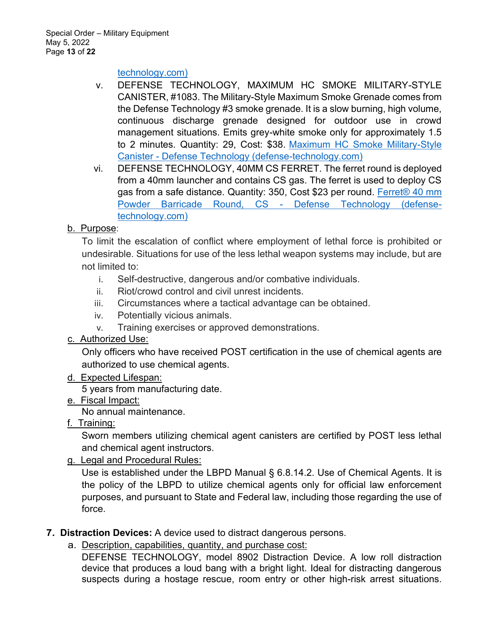#### technology.com)

- v. DEFENSE TECHNOLOGY, MAXIMUM HC SMOKE MILITARY-STYLE CANISTER, #1083. The Military-Style Maximum Smoke Grenade comes from the Defense Technology #3 smoke grenade. It is a slow burning, high volume, continuous discharge grenade designed for outdoor use in crowd management situations. Emits grey-white smoke only for approximately 1.5 to 2 minutes. Quantity: 29, Cost: \$38. Maximum HC Smoke Military-Style Canister - Defense Technology (defense-technology.com)
- vi. DEFENSE TECHNOLOGY, 40MM CS FERRET. The ferret round is deployed from a 40mm launcher and contains CS gas. The ferret is used to deploy CS gas from a safe distance. Quantity: 350, Cost \$23 per round. Ferret® 40 mm Powder Barricade Round, CS - Defense Technology (defensetechnology.com)

### b. Purpose:

To limit the escalation of conflict where employment of lethal force is prohibited or undesirable. Situations for use of the less lethal weapon systems may include, but are not limited to:

- i. Self-destructive, dangerous and/or combative individuals.
- ii. Riot/crowd control and civil unrest incidents.
- iii. Circumstances where a tactical advantage can be obtained.
- iv. Potentially vicious animals.
- v. Training exercises or approved demonstrations.

### c. Authorized Use:

Only officers who have received POST certification in the use of chemical agents are authorized to use chemical agents.

#### d. Expected Lifespan:

5 years from manufacturing date.

e. Fiscal Impact:

No annual maintenance.

f. Training:

Sworn members utilizing chemical agent canisters are certified by POST less lethal and chemical agent instructors.

g. Legal and Procedural Rules:

Use is established under the LBPD Manual § 6.8.14.2. Use of Chemical Agents. It is the policy of the LBPD to utilize chemical agents only for official law enforcement purposes, and pursuant to State and Federal law, including those regarding the use of force.

### **7. Distraction Devices:** A device used to distract dangerous persons.

a. Description, capabilities, quantity, and purchase cost:

DEFENSE TECHNOLOGY, model 8902 Distraction Device. A low roll distraction device that produces a loud bang with a bright light. Ideal for distracting dangerous suspects during a hostage rescue, room entry or other high-risk arrest situations.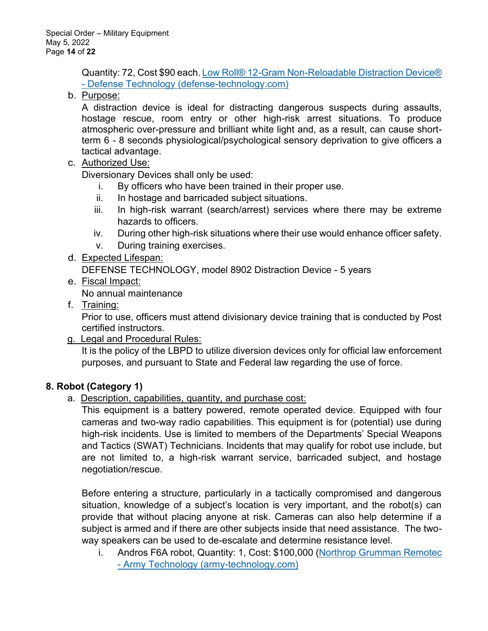Quantity: 72, Cost \$90 each. Low Roll® 12-Gram Non-Reloadable Distraction Device® - Defense Technology (defense-technology.com)

b. Purpose:

A distraction device is ideal for distracting dangerous suspects during assaults, hostage rescue, room entry or other high-risk arrest situations. To produce atmospheric over-pressure and brilliant white light and, as a result, can cause shortterm 6 - 8 seconds physiological/psychological sensory deprivation to give officers a tactical advantage.

c. Authorized Use:

Diversionary Devices shall only be used:

- i. By officers who have been trained in their proper use.
- ii. In hostage and barricaded subject situations.
- iii. In high-risk warrant (search/arrest) services where there may be extreme hazards to officers.
- iv. During other high-risk situations where their use would enhance officer safety.
- v. During training exercises.
- d. Expected Lifespan:

DEFENSE TECHNOLOGY, model 8902 Distraction Device - 5 years

e. Fiscal Impact:

No annual maintenance

f. Training:

Prior to use, officers must attend divisionary device training that is conducted by Post certified instructors.

g. Legal and Procedural Rules:

It is the policy of the LBPD to utilize diversion devices only for official law enforcement purposes, and pursuant to State and Federal law regarding the use of force.

## **8. Robot (Category 1)**

a. Description, capabilities, quantity, and purchase cost:

This equipment is a battery powered, remote operated device. Equipped with four cameras and two-way radio capabilities. This equipment is for (potential) use during high-risk incidents. Use is limited to members of the Departments' Special Weapons and Tactics (SWAT) Technicians. Incidents that may qualify for robot use include, but are not limited to, a high-risk warrant service, barricaded subject, and hostage negotiation/rescue.

Before entering a structure, particularly in a tactically compromised and dangerous situation, knowledge of a subject's location is very important, and the robot(s) can provide that without placing anyone at risk. Cameras can also help determine if a subject is armed and if there are other subjects inside that need assistance. The twoway speakers can be used to de-escalate and determine resistance level.

i. Andros F6A robot, Quantity: 1, Cost: \$100,000 (Northrop Grumman Remotec - Army Technology (army-technology.com)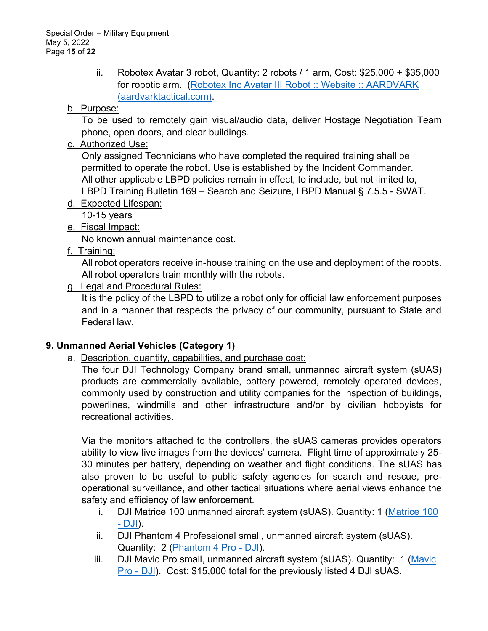ii. Robotex Avatar 3 robot, Quantity: 2 robots / 1 arm, Cost: \$25,000 + \$35,000 for robotic arm. (Robotex Inc Avatar III Robot :: Website :: AARDVARK (aardvarktactical.com).

## b. Purpose:

To be used to remotely gain visual/audio data, deliver Hostage Negotiation Team phone, open doors, and clear buildings.

c. Authorized Use:

Only assigned Technicians who have completed the required training shall be permitted to operate the robot. Use is established by the Incident Commander. All other applicable LBPD policies remain in effect, to include, but not limited to, LBPD Training Bulletin 169 - Search and Seizure, LBPD Manual § 7.5.5 - SWAT.

d. Expected Lifespan:

10-15 years

e. Fiscal Impact:

No known annual maintenance cost.

f. Training:

All robot operators receive in-house training on the use and deployment of the robots. All robot operators train monthly with the robots.

## g. Legal and Procedural Rules:

It is the policy of the LBPD to utilize a robot only for official law enforcement purposes and in a manner that respects the privacy of our community, pursuant to State and Federal law.

## **9. Unmanned Aerial Vehicles (Category 1)**

a. Description, quantity, capabilities, and purchase cost:

The four DJI Technology Company brand small, unmanned aircraft system (sUAS) products are commercially available, battery powered, remotely operated devices, commonly used by construction and utility companies for the inspection of buildings, powerlines, windmills and other infrastructure and/or by civilian hobbyists for recreational activities.

Via the monitors attached to the controllers, the sUAS cameras provides operators ability to view live images from the devices' camera. Flight time of approximately 25-30 minutes per battery, depending on weather and flight conditions. The sUAS has also proven to be useful to public safety agencies for search and rescue, preoperational surveillance, and other tactical situations where aerial views enhance the safety and efficiency of law enforcement.

- i. DJI Matrice 100 unmanned aircraft system (sUAS). Quantity: 1 (Matrice 100 - DJI).
- ii. DJI Phantom 4 Professional small, unmanned aircraft system (sUAS). Quantity: 2 (Phantom 4 Pro - DJI).
- iii. DJI Mavic Pro small, unmanned aircraft system (sUAS). Quantity: 1 (Mavic Pro - DJI). Cost: \$15,000 total for the previously listed 4 DJI sUAS.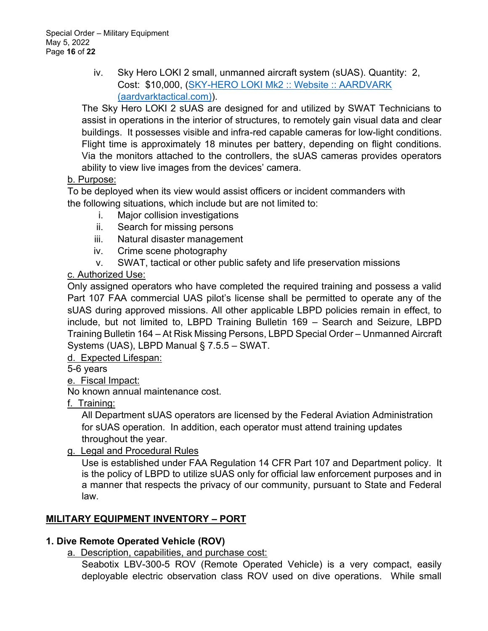iv. Sky Hero LOKI 2 small, unmanned aircraft system (sUAS). Quantity: 2, Cost: \$10,000, (SKY-HERO LOKI Mk2 :: Website :: AARDVARK (aardvarktactical.com)).

The Sky Hero LOKI 2 sUAS are designed for and utilized by SWAT Technicians to assist in operations in the interior of structures, to remotely gain visual data and clear buildings. It possesses visible and infra-red capable cameras for low-light conditions. Flight time is approximately 18 minutes per battery, depending on flight conditions. Via the monitors attached to the controllers, the sUAS cameras provides operators ability to view live images from the devices' camera.

### b. Purpose:

To be deployed when its view would assist officers or incident commanders with the following situations, which include but are not limited to:

- i. Major collision investigations
- ii. Search for missing persons
- iii. Natural disaster management
- iv. Crime scene photography
- v. SWAT, tactical or other public safety and life preservation missions

### c. Authorized Use:

Only assigned operators who have completed the required training and possess a valid Part 107 FAA commercial UAS pilot's license shall be permitted to operate any of the sUAS during approved missions. All other applicable LBPD policies remain in effect, to include, but not limited to, LBPD Training Bulletin  $169 -$  Search and Seizure, LBPD Training Bulletin 164 - At Risk Missing Persons, LBPD Special Order - Unmanned Aircraft Systems (UAS), LBPD Manual  $\S$  7.5.5 – SWAT.

### d. Expected Lifespan:

5-6 years

### e. Fiscal Impact:

No known annual maintenance cost.

f. Training:

All Department sUAS operators are licensed by the Federal Aviation Administration for sUAS operation. In addition, each operator must attend training updates throughout the year.

### g. Legal and Procedural Rules

Use is established under FAA Regulation 14 CFR Part 107 and Department policy. It is the policy of LBPD to utilize sUAS only for official law enforcement purposes and in a manner that respects the privacy of our community, pursuant to State and Federal law.

## **MILITARY EQUIPMENT INVENTORY ± PORT**

### **1. Dive Remote Operated Vehicle (ROV)**

a. Description, capabilities, and purchase cost:

Seabotix LBV-300-5 ROV (Remote Operated Vehicle) is a very compact, easily deployable electric observation class ROV used on dive operations. While small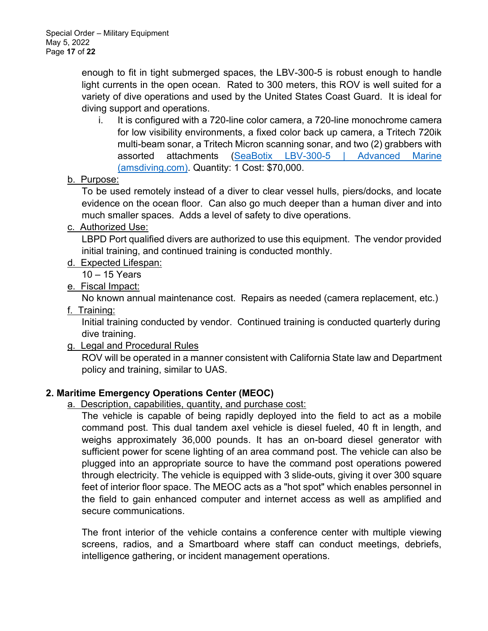enough to fit in tight submerged spaces, the LBV-300-5 is robust enough to handle light currents in the open ocean. Rated to 300 meters, this ROV is well suited for a variety of dive operations and used by the United States Coast Guard. It is ideal for diving support and operations.

- i. It is configured with a 720-line color camera, a 720-line monochrome camera for low visibility environments, a fixed color back up camera, a Tritech 720ik multi-beam sonar, a Tritech Micron scanning sonar, and two (2) grabbers with assorted attachments (SeaBotix LBV-300-5 | Advanced Marine (amsdiving.com). Quantity: 1 Cost: \$70,000.
- b. Purpose:

To be used remotely instead of a diver to clear vessel hulls, piers/docks, and locate evidence on the ocean floor. Can also go much deeper than a human diver and into much smaller spaces. Adds a level of safety to dive operations.

c. Authorized Use:

LBPD Port qualified divers are authorized to use this equipment. The vendor provided initial training, and continued training is conducted monthly.

- d. Expected Lifespan:
	- $10 15$  Years
- e. Fiscal Impact:

No known annual maintenance cost. Repairs as needed (camera replacement, etc.)

f. Training:

Initial training conducted by vendor. Continued training is conducted quarterly during dive training.

g. Legal and Procedural Rules

ROV will be operated in a manner consistent with California State law and Department policy and training, similar to UAS.

### **2. Maritime Emergency Operations Center (MEOC)**

### a. Description, capabilities, quantity, and purchase cost:

The vehicle is capable of being rapidly deployed into the field to act as a mobile command post. This dual tandem axel vehicle is diesel fueled, 40 ft in length, and weighs approximately 36,000 pounds. It has an on-board diesel generator with sufficient power for scene lighting of an area command post. The vehicle can also be plugged into an appropriate source to have the command post operations powered through electricity. The vehicle is equipped with 3 slide-outs, giving it over 300 square feet of interior floor space. The MEOC acts as a "hot spot" which enables personnel in the field to gain enhanced computer and internet access as well as amplified and secure communications.

The front interior of the vehicle contains a conference center with multiple viewing screens, radios, and a Smartboard where staff can conduct meetings, debriefs, intelligence gathering, or incident management operations.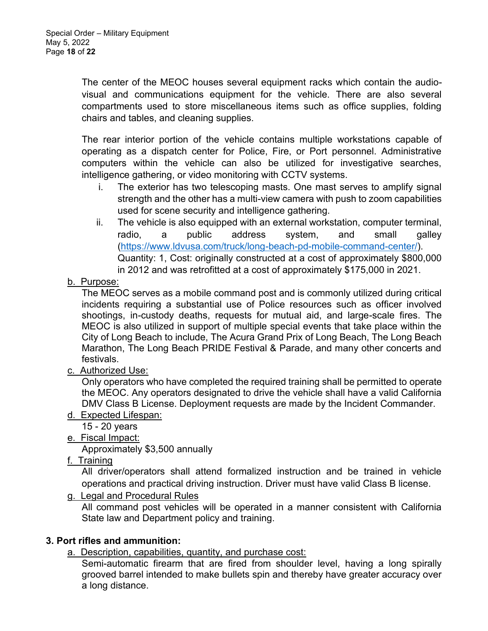The center of the MEOC houses several equipment racks which contain the audiovisual and communications equipment for the vehicle. There are also several compartments used to store miscellaneous items such as office supplies, folding chairs and tables, and cleaning supplies.

The rear interior portion of the vehicle contains multiple workstations capable of operating as a dispatch center for Police, Fire, or Port personnel. Administrative computers within the vehicle can also be utilized for investigative searches, intelligence gathering, or video monitoring with CCTV systems.

- i. The exterior has two telescoping masts. One mast serves to amplify signal strength and the other has a multi-view camera with push to zoom capabilities used for scene security and intelligence gathering.
- ii. The vehicle is also equipped with an external workstation, computer terminal, radio, a public address system, and small galley (https://www.ldvusa.com/truck/long-beach-pd-mobile-command-center/). Quantity: 1, Cost: originally constructed at a cost of approximately \$800,000 in 2012 and was retrofitted at a cost of approximately \$175,000 in 2021.
- b. Purpose:

The MEOC serves as a mobile command post and is commonly utilized during critical incidents requiring a substantial use of Police resources such as officer involved shootings, in-custody deaths, requests for mutual aid, and large-scale fires. The MEOC is also utilized in support of multiple special events that take place within the City of Long Beach to include, The Acura Grand Prix of Long Beach, The Long Beach Marathon, The Long Beach PRIDE Festival & Parade, and many other concerts and festivals.

c. Authorized Use:

Only operators who have completed the required training shall be permitted to operate the MEOC. Any operators designated to drive the vehicle shall have a valid California DMV Class B License. Deployment requests are made by the Incident Commander.

- d. Expected Lifespan:
	- 15 20 years
- e. Fiscal Impact:

Approximately \$3,500 annually

f. Training

All driver/operators shall attend formalized instruction and be trained in vehicle operations and practical driving instruction. Driver must have valid Class B license.

g. Legal and Procedural Rules

All command post vehicles will be operated in a manner consistent with California State law and Department policy and training.

### **3. Port rifles and ammunition:**

a. Description, capabilities, quantity, and purchase cost:

Semi-automatic firearm that are fired from shoulder level, having a long spirally grooved barrel intended to make bullets spin and thereby have greater accuracy over a long distance.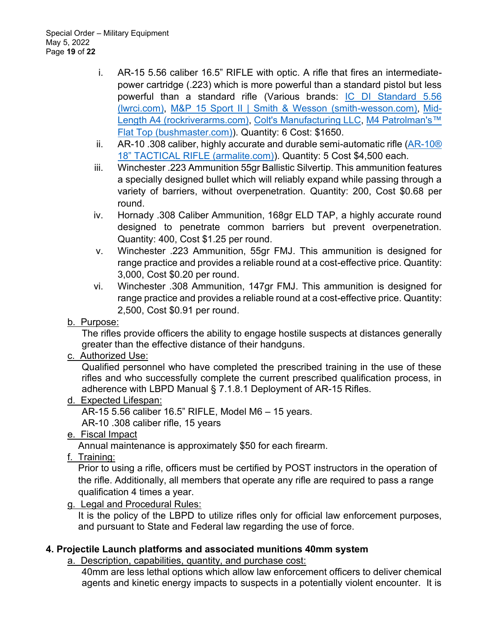- i. AR-15 5.56 caliber 16.5" RIFLE with optic. A rifle that fires an intermediatepower cartridge (.223) which is more powerful than a standard pistol but less powerful than a standard rifle (Various brands: IC DI Standard 5.56 (lwrci.com), M&P 15 Sport II | Smith & Wesson (smith-wesson.com), Mid-Length A4 (rockriverarms.com), Colt's Manufacturing LLC, M4 Patrolman's™ Flat Top (bushmaster.com)). Quantity: 6 Cost: \$1650.
- ii. AR-10 .308 caliber, highly accurate and durable semi-automatic rifle  $(AR-10<sup>®</sup>)$ 18" TACTICAL RIFLE (armalite.com)). Quantity: 5 Cost \$4,500 each.
- iii. Winchester .223 Ammunition 55gr Ballistic Silvertip. This ammunition features a specially designed bullet which will reliably expand while passing through a variety of barriers, without overpenetration. Quantity: 200, Cost \$0.68 per round.
- iv. Hornady .308 Caliber Ammunition, 168gr ELD TAP, a highly accurate round designed to penetrate common barriers but prevent overpenetration. Quantity: 400, Cost \$1.25 per round.
- v. Winchester .223 Ammunition, 55gr FMJ. This ammunition is designed for range practice and provides a reliable round at a cost-effective price. Quantity: 3,000, Cost \$0.20 per round.
- vi. Winchester .308 Ammunition, 147gr FMJ. This ammunition is designed for range practice and provides a reliable round at a cost-effective price. Quantity: 2,500, Cost \$0.91 per round.
- b. Purpose:

The rifles provide officers the ability to engage hostile suspects at distances generally greater than the effective distance of their handguns.

c. Authorized Use:

Qualified personnel who have completed the prescribed training in the use of these rifles and who successfully complete the current prescribed qualification process, in adherence with LBPD Manual § 7.1.8.1 Deployment of AR-15 Rifles.

d. Expected Lifespan:

AR-15 5.56 caliber 16.5" RIFLE, Model M6  $-$  15 years.

AR-10 .308 caliber rifle, 15 years

e. Fiscal Impact

Annual maintenance is approximately \$50 for each firearm.

f. Training:

Prior to using a rifle, officers must be certified by POST instructors in the operation of the rifle. Additionally, all members that operate any rifle are required to pass a range qualification 4 times a year.

g. Legal and Procedural Rules:

It is the policy of the LBPD to utilize rifles only for official law enforcement purposes, and pursuant to State and Federal law regarding the use of force.

## **4. Projectile Launch platforms and associated munitions 40mm system**

a. Description, capabilities, quantity, and purchase cost:

40mm are less lethal options which allow law enforcement officers to deliver chemical agents and kinetic energy impacts to suspects in a potentially violent encounter. It is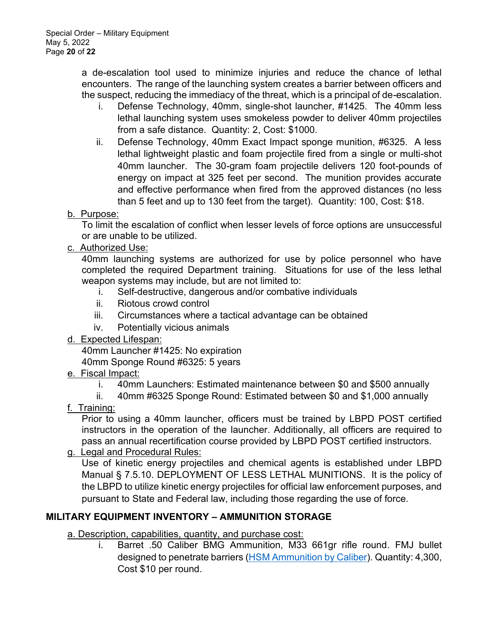a de-escalation tool used to minimize injuries and reduce the chance of lethal encounters. The range of the launching system creates a barrier between officers and the suspect, reducing the immediacy of the threat, which is a principal of de-escalation.

- i. Defense Technology, 40mm, single-shot launcher, #1425. The 40mm less lethal launching system uses smokeless powder to deliver 40mm projectiles from a safe distance. Quantity: 2, Cost: \$1000.
- ii. Defense Technology, 40mm Exact Impact sponge munition, #6325. A less lethal lightweight plastic and foam projectile fired from a single or multi-shot 40mm launcher. The 30-gram foam projectile delivers 120 foot-pounds of energy on impact at 325 feet per second. The munition provides accurate and effective performance when fired from the approved distances (no less than 5 feet and up to 130 feet from the target). Quantity: 100, Cost: \$18.

## b. Purpose:

To limit the escalation of conflict when lesser levels of force options are unsuccessful or are unable to be utilized.

### c. Authorized Use:

40mm launching systems are authorized for use by police personnel who have completed the required Department training. Situations for use of the less lethal weapon systems may include, but are not limited to:

- i. Self-destructive, dangerous and/or combative individuals
- ii. Riotous crowd control
- iii. Circumstances where a tactical advantage can be obtained
- iv. Potentially vicious animals

### d. Expected Lifespan:

40mm Launcher #1425: No expiration 40mm Sponge Round #6325: 5 years

- e. Fiscal Impact:
	- i. 40mm Launchers: Estimated maintenance between \$0 and \$500 annually
	- ii. 40mm #6325 Sponge Round: Estimated between \$0 and \$1,000 annually
- f. Training:

Prior to using a 40mm launcher, officers must be trained by LBPD POST certified instructors in the operation of the launcher. Additionally, all officers are required to pass an annual recertification course provided by LBPD POST certified instructors.

### g. Legal and Procedural Rules:

Use of kinetic energy projectiles and chemical agents is established under LBPD Manual § 7.5.10. DEPLOYMENT OF LESS LETHAL MUNITIONS. It is the policy of the LBPD to utilize kinetic energy projectiles for official law enforcement purposes, and pursuant to State and Federal law, including those regarding the use of force.

## **MILITARY EQUIPMENT INVENTORY ± AMMUNITION STORAGE**

a. Description, capabilities, quantity, and purchase cost:

i. Barret .50 Caliber BMG Ammunition, M33 661gr rifle round. FMJ bullet designed to penetrate barriers (HSM Ammunition by Caliber). Quantity: 4,300, Cost \$10 per round.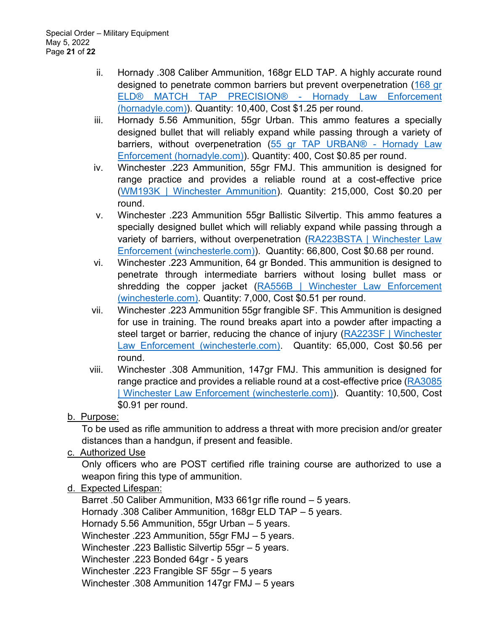- ii. Hornady .308 Caliber Ammunition, 168gr ELD TAP. A highly accurate round designed to penetrate common barriers but prevent overpenetration (168 gr ELD® MATCH TAP PRECISION® - Hornady Law Enforcement (hornadyle.com)). Quantity: 10,400, Cost \$1.25 per round.
- iii. Hornady 5.56 Ammunition, 55gr Urban. This ammo features a specially designed bullet that will reliably expand while passing through a variety of barriers, without overpenetration (55 gr TAP URBAN® - Hornady Law Enforcement (hornadyle.com)). Quantity: 400, Cost \$0.85 per round.
- iv. Winchester .223 Ammunition, 55gr FMJ. This ammunition is designed for range practice and provides a reliable round at a cost-effective price (WM193K | Winchester Ammunition). Quantity: 215,000, Cost \$0.20 per round.
- v. Winchester .223 Ammunition 55gr Ballistic Silvertip. This ammo features a specially designed bullet which will reliably expand while passing through a variety of barriers, without overpenetration (RA223BSTA | Winchester Law Enforcement (winchesterle.com)). Quantity: 66,800, Cost \$0.68 per round.
- vi. Winchester .223 Ammunition, 64 gr Bonded. This ammunition is designed to penetrate through intermediate barriers without losing bullet mass or shredding the copper jacket (RA556B | Winchester Law Enforcement (winchesterle.com). Quantity: 7,000, Cost \$0.51 per round.
- vii. Winchester .223 Ammunition 55gr frangible SF. This Ammunition is designed for use in training. The round breaks apart into a powder after impacting a steel target or barrier, reducing the chance of injury (RA223SF | Winchester Law Enforcement (winchesterle.com). Quantity: 65,000, Cost \$0.56 per round.
- viii. Winchester .308 Ammunition, 147gr FMJ. This ammunition is designed for range practice and provides a reliable round at a cost-effective price (RA3085 | Winchester Law Enforcement (winchesterle.com)). Quantity: 10,500, Cost \$0.91 per round.
- b. Purpose:

To be used as rifle ammunition to address a threat with more precision and/or greater distances than a handgun, if present and feasible.

c. Authorized Use

Only officers who are POST certified rifle training course are authorized to use a weapon firing this type of ammunition.

d. Expected Lifespan:

Barret .50 Caliber Ammunition, M33 661 gr rifle round  $-5$  years. Hornady .308 Caliber Ammunition, 168gr ELD TAP  $-5$  years. Hornady 5.56 Ammunition, 55gr Urban  $-$  5 years. Winchester .223 Ammunition, 55gr  $FMJ - 5$  years. Winchester .223 Ballistic Silvertip  $55gr - 5$  years. Winchester .223 Bonded 64gr - 5 years Winchester .223 Frangible SF  $55$ gr  $-5$  years Winchester .308 Ammunition 147qr FMJ  $-$  5 years